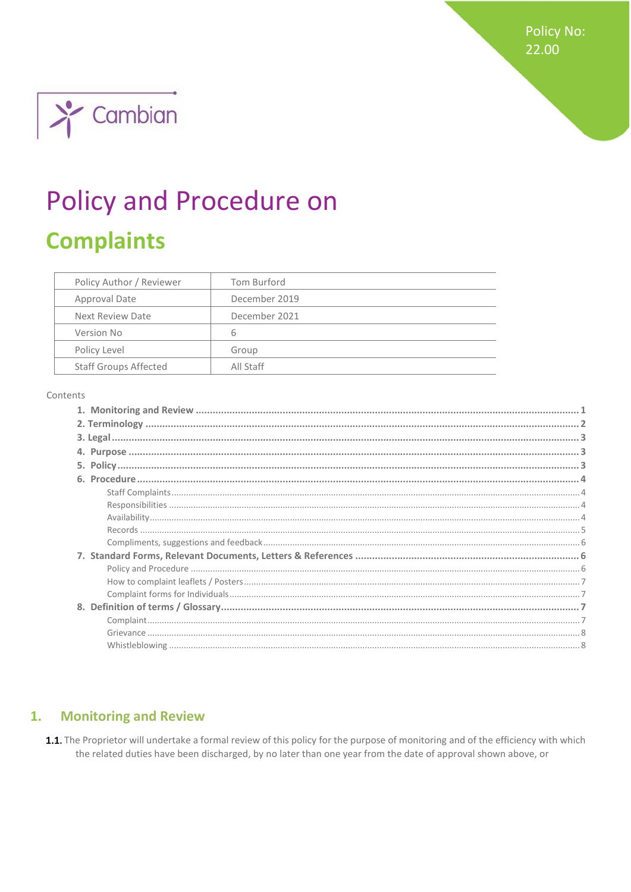**Policy No:** 22.00



# **Policy and Procedure on**

# **Complaints**

| Policy Author / Reviewer     | Tom Burford   |
|------------------------------|---------------|
| Approval Date                | December 2019 |
| Next Review Date             | December 2021 |
| Version No                   | 6             |
| Policy Level                 | Group         |
| <b>Staff Groups Affected</b> | All Staff     |

#### Contents

#### <span id="page-0-0"></span>**Monitoring and Review**  $\mathbf{1}$ .

1.1. The Proprietor will undertake a formal review of this policy for the purpose of monitoring and of the efficiency with which the related duties have been discharged, by no later than one year from the date of approval shown above, or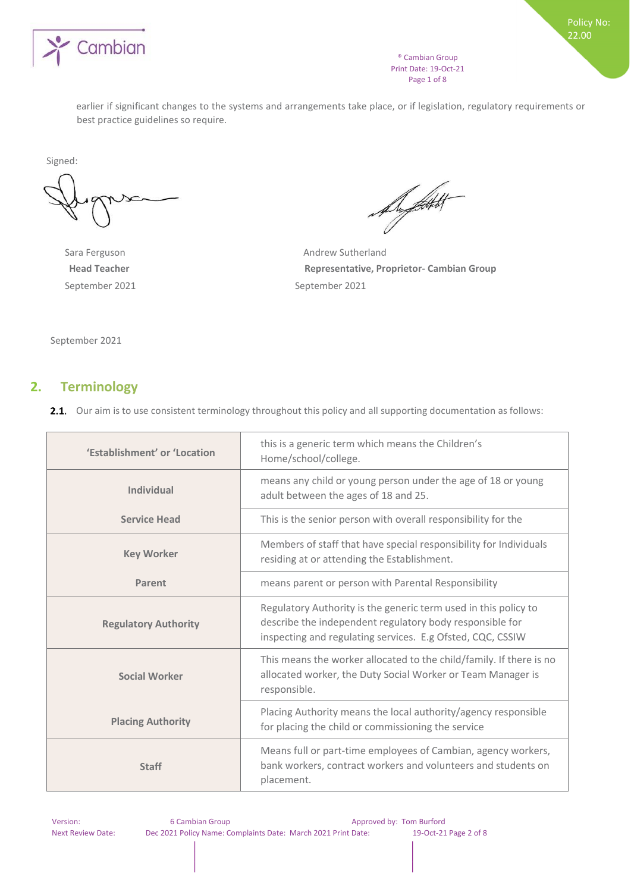

® Cambian Group Print Date: 19-Oct-21 Page 1 of 8

earlier if significant changes to the systems and arrangements take place, or if legislation, regulatory requirements or best practice guidelines so require.

Signed:

September 2021 September 2021

August 1

Sara Ferguson **Andrew Sutherland Head Teacher Representative, Proprietor- Cambian Group**

September 2021

# <span id="page-1-0"></span>**2. Terminology**

2.1. Our aim is to use consistent terminology throughout this policy and all supporting documentation as follows:

| 'Establishment' or 'Location | this is a generic term which means the Children's<br>Home/school/college.                                                                                                                 |  |  |
|------------------------------|-------------------------------------------------------------------------------------------------------------------------------------------------------------------------------------------|--|--|
| <b>Individual</b>            | means any child or young person under the age of 18 or young<br>adult between the ages of 18 and 25.                                                                                      |  |  |
| <b>Service Head</b>          | This is the senior person with overall responsibility for the                                                                                                                             |  |  |
| <b>Key Worker</b>            | Members of staff that have special responsibility for Individuals<br>residing at or attending the Establishment.                                                                          |  |  |
| Parent                       | means parent or person with Parental Responsibility                                                                                                                                       |  |  |
| <b>Regulatory Authority</b>  | Regulatory Authority is the generic term used in this policy to<br>describe the independent regulatory body responsible for<br>inspecting and regulating services. E.g Ofsted, CQC, CSSIW |  |  |
| <b>Social Worker</b>         | This means the worker allocated to the child/family. If there is no<br>allocated worker, the Duty Social Worker or Team Manager is<br>responsible.                                        |  |  |
| <b>Placing Authority</b>     | Placing Authority means the local authority/agency responsible<br>for placing the child or commissioning the service                                                                      |  |  |
| <b>Staff</b>                 | Means full or part-time employees of Cambian, agency workers,<br>bank workers, contract workers and volunteers and students on<br>placement.                                              |  |  |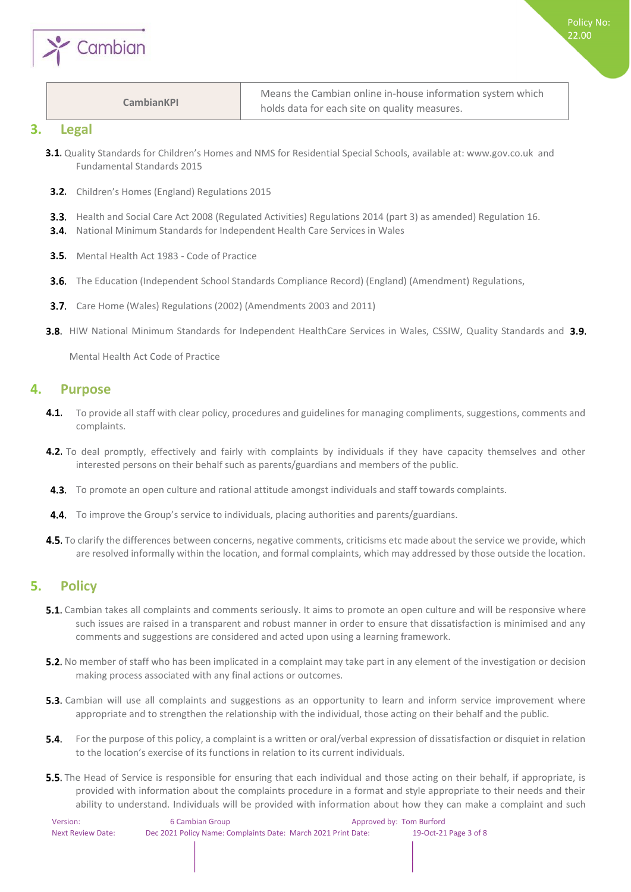

#### **CambianKPI**

Means the Cambian online in-house information system which holds data for each site on quality measures.

#### <span id="page-2-0"></span>**3. Legal**

- 3.1. Quality Standards for Children's Homes and NMS for Residential Special Schools, available at: www.gov.co.uk and Fundamental Standards 2015
- **3.2.** Children's Homes (England) Regulations 2015
- **3.3.** Health and Social Care Act 2008 (Regulated Activities) Regulations 2014 (part 3) as amended) Regulation 16.
- **3.4.** National Minimum Standards for Independent Health Care Services in Wales
- **3.5.** Mental Health Act 1983 Code of Practice
- **3.6.** The Education (Independent School Standards Compliance Record) (England) (Amendment) Regulations,
- 3.7. Care Home (Wales) Regulations (2002) (Amendments 2003 and 2011)
- **3.8.** HIW National Minimum Standards for Independent HealthCare Services in Wales, CSSIW, Quality Standards and 3.9.

Mental Health Act Code of Practice

### <span id="page-2-1"></span>**4. Purpose**

- $4.1.$ To provide all staff with clear policy, procedures and guidelines for managing compliments, suggestions, comments and complaints.
- **4.2.** To deal promptly, effectively and fairly with complaints by individuals if they have capacity themselves and other interested persons on their behalf such as parents/guardians and members of the public.
- **4.3.** To promote an open culture and rational attitude amongst individuals and staff towards complaints.
- 4.4. To improve the Group's service to individuals, placing authorities and parents/guardians.
- **4.5.** To clarify the differences between concerns, negative comments, criticisms etc made about the service we provide, which are resolved informally within the location, and formal complaints, which may addressed by those outside the location.

# <span id="page-2-2"></span>**5. Policy**

- **5.1.** Cambian takes all complaints and comments seriously. It aims to promote an open culture and will be responsive where such issues are raised in a transparent and robust manner in order to ensure that dissatisfaction is minimised and any comments and suggestions are considered and acted upon using a learning framework.
- **5.2.** No member of staff who has been implicated in a complaint may take part in any element of the investigation or decision making process associated with any final actions or outcomes.
- **5.3.** Cambian will use all complaints and suggestions as an opportunity to learn and inform service improvement where appropriate and to strengthen the relationship with the individual, those acting on their behalf and the public.
- 5.4. For the purpose of this policy, a complaint is a written or oral/verbal expression of dissatisfaction or disquiet in relation to the location's exercise of its functions in relation to its current individuals.
- **5.5.** The Head of Service is responsible for ensuring that each individual and those acting on their behalf, if appropriate, is provided with information about the complaints procedure in a format and style appropriate to their needs and their ability to understand. Individuals will be provided with information about how they can make a complaint and such

| Version:          | 6 Cambian Group                                               | Approved by: Tom Burford |                       |
|-------------------|---------------------------------------------------------------|--------------------------|-----------------------|
| Next Review Date: | Dec 2021 Policy Name: Complaints Date: March 2021 Print Date: |                          | 19-Oct-21 Page 3 of 8 |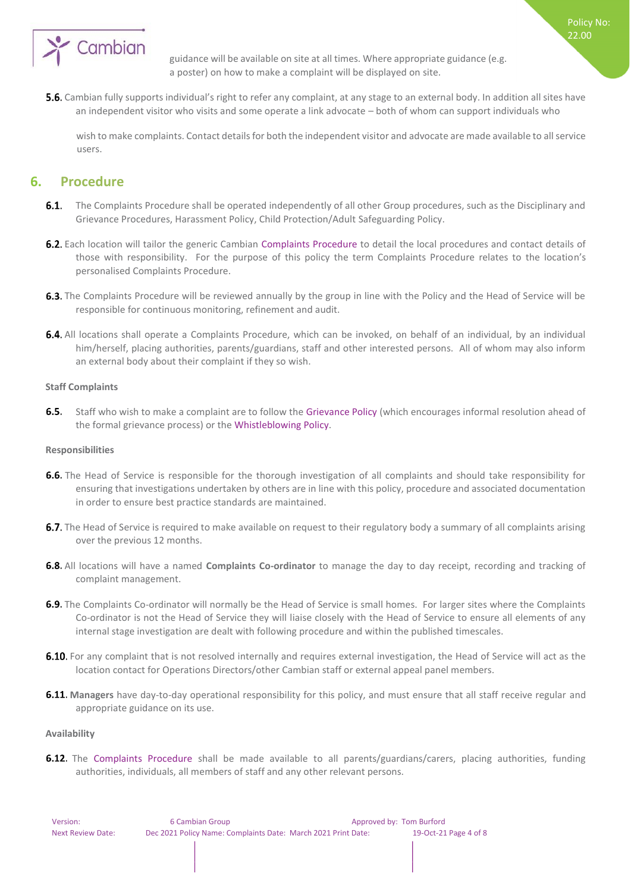

guidance will be available on site at all times. Where appropriate guidance (e.g. a poster) on how to make a complaint will be displayed on site.

Policy No: 22.00

**5.6.** Cambian fully supports individual's right to refer any complaint, at any stage to an external body. In addition all sites have an independent visitor who visits and some operate a link advocate – both of whom can support individuals who

wish to make complaints. Contact details for both the independent visitor and advocate are made available to all service users.

# <span id="page-3-0"></span>**6. Procedure**

- $6.1.$ The Complaints Procedure shall be operated independently of all other Group procedures, such as the Disciplinary and Grievance Procedures, Harassment Policy, Child Protection/Adult Safeguarding Policy.
- 6.2. Each location will tailor the generic Cambian Complaints Procedure to detail the local procedures and contact details of those with responsibility. For the purpose of this policy the term Complaints Procedure relates to the location's personalised Complaints Procedure.
- 6.3. The Complaints Procedure will be reviewed annually by the group in line with the Policy and the Head of Service will be responsible for continuous monitoring, refinement and audit.
- 6.4. All locations shall operate a Complaints Procedure, which can be invoked, on behalf of an individual, by an individual him/herself, placing authorities, parents/guardians, staff and other interested persons. All of whom may also inform an external body about their complaint if they so wish.

#### <span id="page-3-1"></span>**Staff Complaints**

 $6.5.$ Staff who wish to make a complaint are to follow the Grievance Policy (which encourages informal resolution ahead of the formal grievance process) or the Whistleblowing Policy.

#### <span id="page-3-2"></span>**Responsibilities**

- 6.6. The Head of Service is responsible for the thorough investigation of all complaints and should take responsibility for ensuring that investigations undertaken by others are in line with this policy, procedure and associated documentation in order to ensure best practice standards are maintained.
- 6.7. The Head of Service is required to make available on request to their regulatory body a summary of all complaints arising over the previous 12 months.
- All locations will have a named **Complaints Co-ordinator** to manage the day to day receipt, recording and tracking of complaint management.
- 6.9. The Complaints Co-ordinator will normally be the Head of Service is small homes. For larger sites where the Complaints Co-ordinator is not the Head of Service they will liaise closely with the Head of Service to ensure all elements of any internal stage investigation are dealt with following procedure and within the published timescales.
- 6.10. For any complaint that is not resolved internally and requires external investigation, the Head of Service will act as the location contact for Operations Directors/other Cambian staff or external appeal panel members.
- **6.11. Managers** have day-to-day operational responsibility for this policy, and must ensure that all staff receive regular and appropriate guidance on its use.

#### <span id="page-3-3"></span>**Availability**

6.12. The Complaints Procedure shall be made available to all parents/guardians/carers, placing authorities, funding authorities, individuals, all members of staff and any other relevant persons.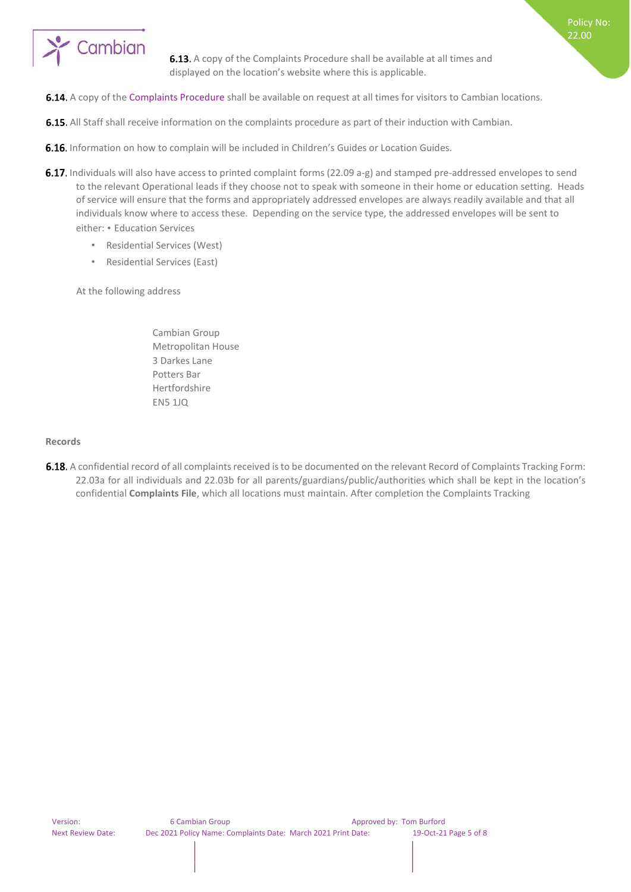

**6.13.** A copy of the Complaints Procedure shall be available at all times and displayed on the location's website where this is applicable.

Policy No: 22.00

- 6.14. A copy of the Complaints Procedure shall be available on request at all times for visitors to Cambian locations.
- 6.15. All Staff shall receive information on the complaints procedure as part of their induction with Cambian.
- **6.16.** Information on how to complain will be included in Children's Guides or Location Guides.
- 6.17. Individuals will also have access to printed complaint forms (22.09 a-g) and stamped pre-addressed envelopes to send to the relevant Operational leads if they choose not to speak with someone in their home or education setting. Heads of service will ensure that the forms and appropriately addressed envelopes are always readily available and that all individuals know where to access these. Depending on the service type, the addressed envelopes will be sent to either: • Education Services
	- Residential Services (West)
	- Residential Services (East)

At the following address

Cambian Group Metropolitan House 3 Darkes Lane Potters Bar Hertfordshire EN5 1JQ

#### <span id="page-4-0"></span>**Records**

6.18. A confidential record of all complaints received is to be documented on the relevant Record of Complaints Tracking Form: 22.03a for all individuals and 22.03b for all parents/guardians/public/authorities which shall be kept in the location's confidential **Complaints File**, which all locations must maintain. After completion the Complaints Tracking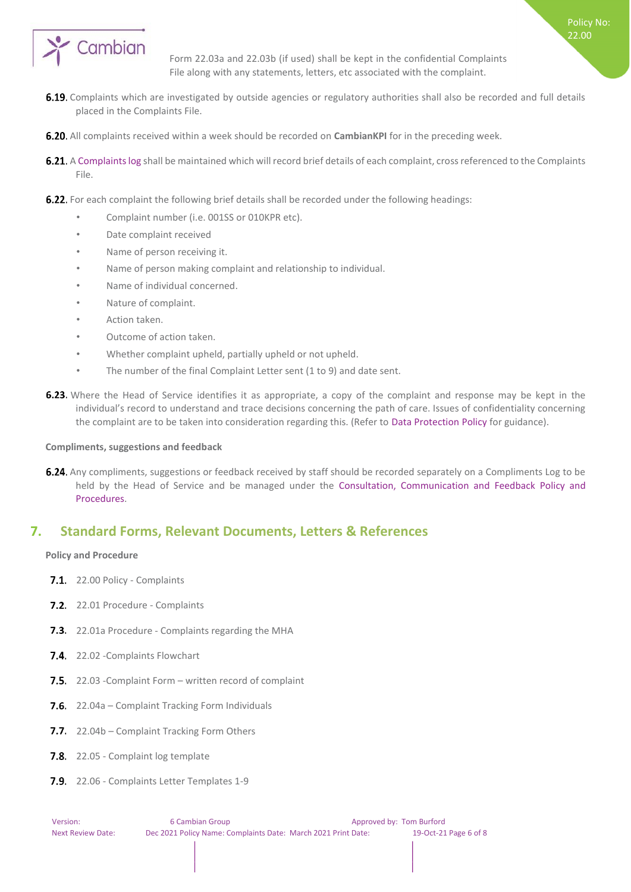

Form 22.03a and 22.03b (if used) shall be kept in the confidential Complaints File along with any statements, letters, etc associated with the complaint.

- 6.19. Complaints which are investigated by outside agencies or regulatory authorities shall also be recorded and full details placed in the Complaints File.
- **6.20.** All complaints received within a week should be recorded on **CambianKPI** for in the preceding week.
- 6.21. A Complaints log shall be maintained which will record brief details of each complaint, cross referenced to the Complaints File.
- **6.22.** For each complaint the following brief details shall be recorded under the following headings:
	- Complaint number (i.e. 001SS or 010KPR etc).
	- Date complaint received
	- Name of person receiving it.
	- Name of person making complaint and relationship to individual.
	- Name of individual concerned.
	- Nature of complaint.
	- Action taken.
	- Outcome of action taken.
	- Whether complaint upheld, partially upheld or not upheld.
	- The number of the final Complaint Letter sent (1 to 9) and date sent.
- **6.23.** Where the Head of Service identifies it as appropriate, a copy of the complaint and response may be kept in the individual's record to understand and trace decisions concerning the path of care. Issues of confidentiality concerning the complaint are to be taken into consideration regarding this. (Refer to Data Protection Policy for guidance).

#### <span id="page-5-0"></span>**Compliments, suggestions and feedback**

6.24. Any compliments, suggestions or feedback received by staff should be recorded separately on a Compliments Log to be held by the Head of Service and be managed under the Consultation, Communication and Feedback Policy and Procedures.

# <span id="page-5-1"></span>**7. Standard Forms, Relevant Documents, Letters & References**

#### <span id="page-5-2"></span>**Policy and Procedure**

- 7.1. 22.00 Policy Complaints
- 7.2. 22.01 Procedure Complaints
- 7.3. 22.01a Procedure Complaints regarding the MHA
- 7.4. 22.02 Complaints Flowchart
- 7.5. 22.03 -Complaint Form written record of complaint
- 7.6. 22.04a Complaint Tracking Form Individuals
- 7.7. 22.04b Complaint Tracking Form Others
- 7.8. 22.05 Complaint log template
- 7.9. 22.06 Complaints Letter Templates 1-9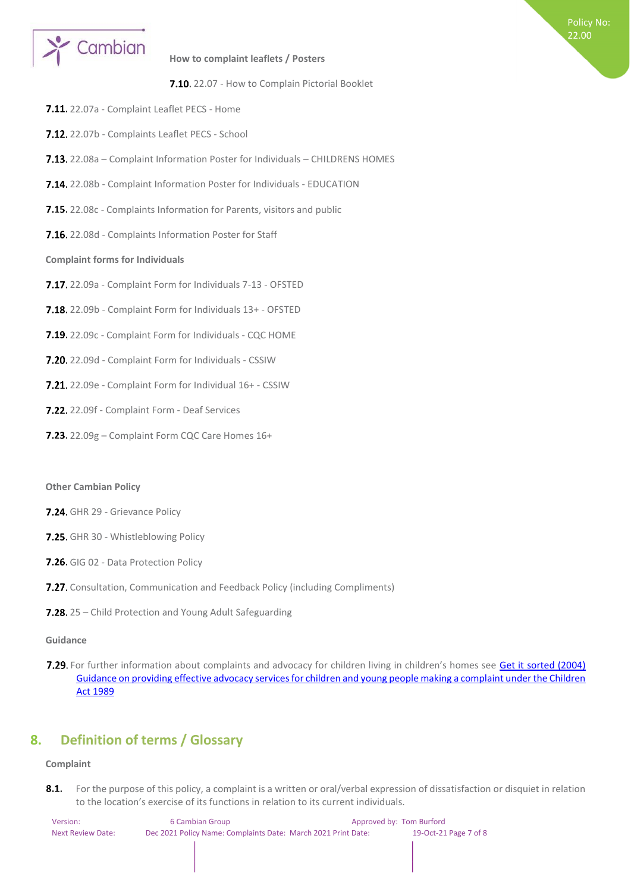

#### <span id="page-6-0"></span>**How to complaint leaflets / Posters**

7.10. 22.07 - How to Complain Pictorial Booklet

Policy No: 22.00

- 7.11. 22.07a Complaint Leaflet PECS Home
- 7.12. 22.07b Complaints Leaflet PECS School
- 7.13. 22.08a Complaint Information Poster for Individuals CHILDRENS HOMES
- 7.14. 22.08b Complaint Information Poster for Individuals EDUCATION
- 7.15. 22.08c Complaints Information for Parents, visitors and public
- 7.16. 22.08d Complaints Information Poster for Staff

#### <span id="page-6-1"></span>**Complaint forms for Individuals**

- 7.17. 22.09a Complaint Form for Individuals 7-13 OFSTED
- 7.18. 22.09b Complaint Form for Individuals 13+ OFSTED
- 7.19. 22.09c Complaint Form for Individuals CQC HOME
- 7.20. 22.09d Complaint Form for Individuals CSSIW
- 7.21. 22.09e Complaint Form for Individual 16+ CSSIW
- 7.22. 22.09f Complaint Form Deaf Services
- 7.23. 22.09g Complaint Form CQC Care Homes 16+

#### **Other Cambian Policy**

- 7.24. GHR 29 Grievance Policy
- 7.25. GHR 30 Whistleblowing Policy
- 7.26. GIG 02 Data Protection Policy
- 7.27. Consultation, Communication and Feedback Policy (including Compliments)
- 7.28. 25 Child Protection and Young Adult Safeguarding

#### **Guidance**

7.29. For further information about complaints and advocacy for children living in children's homes see [Get it sorted \(2004\)](https://www.gov.uk/government/publications/advocacy-services-for-children-and-young-people) [Guidance on providing effective advocacy services for children and young people making a complaint under the Children](https://www.gov.uk/government/publications/advocacy-services-for-children-and-young-people) [Act 1989](https://www.gov.uk/government/publications/advocacy-services-for-children-and-young-people)

# <span id="page-6-2"></span>**8. Definition of terms / Glossary**

#### <span id="page-6-3"></span>**Complaint**

8.1. For the purpose of this policy, a complaint is a written or oral/verbal expression of dissatisfaction or disquiet in relation to the location's exercise of its functions in relation to its current individuals.

| Version:          | 6 Cambian Group                                               | Approved by: Tom Burford |                       |
|-------------------|---------------------------------------------------------------|--------------------------|-----------------------|
| Next Review Date: | Dec 2021 Policy Name: Complaints Date: March 2021 Print Date: |                          | 19-Oct-21 Page 7 of 8 |